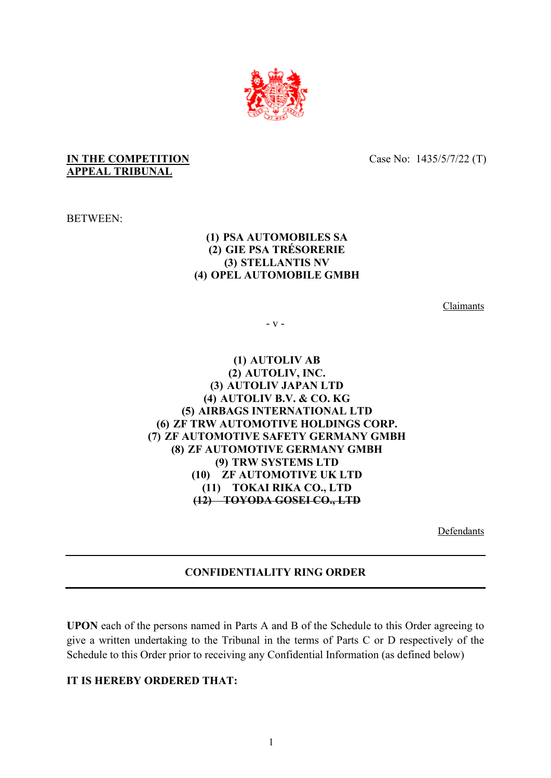

## **IN THE COMPETITION APPEAL TRIBUNAL**

Case No: 1435/5/7/22 (T)

BETWEEN:

## **(1) PSA AUTOMOBILES SA (2) GIE PSA TRÉSORERIE (3) STELLANTIS NV (4) OPEL AUTOMOBILE GMBH**

Claimants

- v -

## **(1) AUTOLIV AB (2) AUTOLIV, INC. (3) AUTOLIV JAPAN LTD (4) AUTOLIV B.V. & CO. KG (5) AIRBAGS INTERNATIONAL LTD (6) ZF TRW AUTOMOTIVE HOLDINGS CORP. (7) ZF AUTOMOTIVE SAFETY GERMANY GMBH (8) ZF AUTOMOTIVE GERMANY GMBH (9) TRW SYSTEMS LTD (10) ZF AUTOMOTIVE UK LTD (11) TOKAI RIKA CO., LTD (12) TOYODA GOSEI CO., LTD**

Defendants

## **CONFIDENTIALITY RING ORDER**

**UPON** each of the persons named in Parts A and B of the Schedule to this Order agreeing to give a written undertaking to the Tribunal in the terms of Parts C or D respectively of the Schedule to this Order prior to receiving any Confidential Information (as defined below)

## **IT IS HEREBY ORDERED THAT:**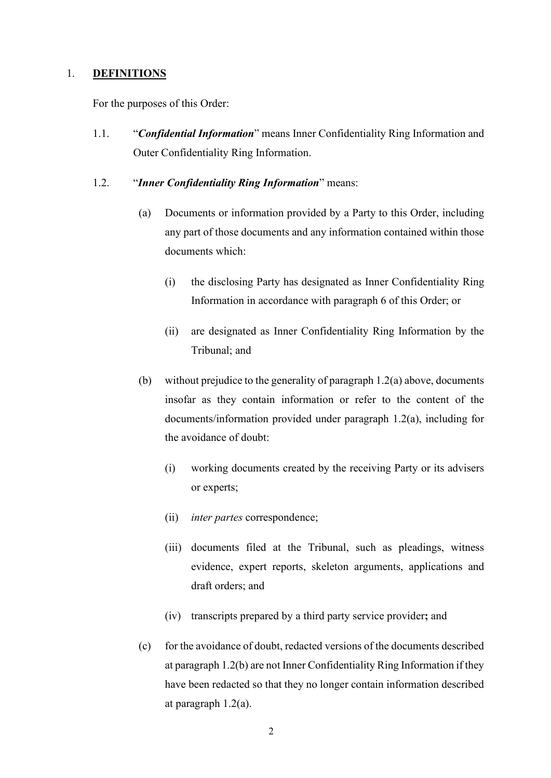#### 1. **DEFINITIONS**

For the purposes of this Order:

1.1. "*Confidential Information*" means Inner Confidentiality Ring Information and Outer Confidentiality Ring Information.

#### 1.2. "*Inner Confidentiality Ring Information*" means:

- (a) Documents or information provided by a Party to this Order, including any part of those documents and any information contained within those documents which:
	- (i) the disclosing Party has designated as Inner Confidentiality Ring Information in accordance with paragraph 6 of this Order; or
	- (ii) are designated as Inner Confidentiality Ring Information by the Tribunal; and
- (b) without prejudice to the generality of paragraph 1.2(a) above, documents insofar as they contain information or refer to the content of the documents/information provided under paragraph 1.2(a), including for the avoidance of doubt:
	- (i) working documents created by the receiving Party or its advisers or experts;
	- (ii) *inter partes* correspondence;
	- (iii) documents filed at the Tribunal, such as pleadings, witness evidence, expert reports, skeleton arguments, applications and draft orders; and
	- (iv) transcripts prepared by a third party service provider**;** and
- (c) for the avoidance of doubt, redacted versions of the documents described at paragraph 1.2(b) are not Inner Confidentiality Ring Information if they have been redacted so that they no longer contain information described at paragraph 1.2(a).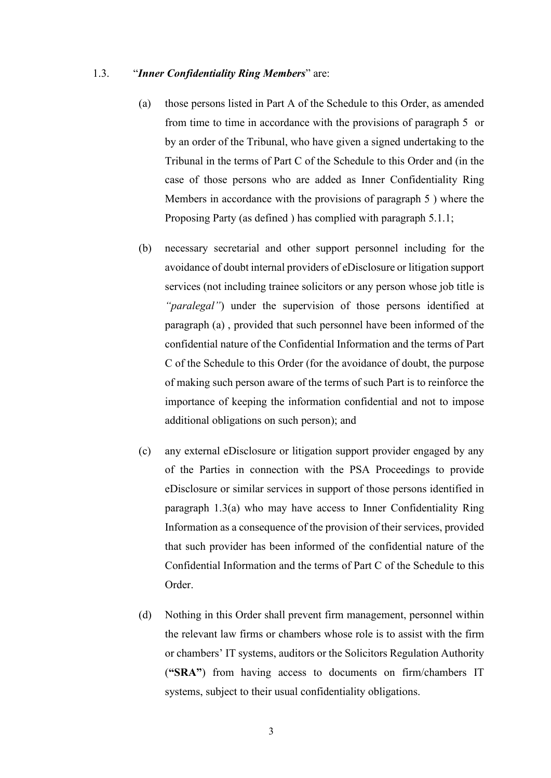#### 1.3. "*Inner Confidentiality Ring Members*" are:

- (a) those persons listed in Part A of the Schedule to this Order, as amended from time to time in accordance with the provisions of paragraph 5 or by an order of the Tribunal, who have given a signed undertaking to the Tribunal in the terms of Part C of the Schedule to this Order and (in the case of those persons who are added as Inner Confidentiality Ring Members in accordance with the provisions of paragraph 5 ) where the Proposing Party (as defined ) has complied with paragraph 5.1.1;
- (b) necessary secretarial and other support personnel including for the avoidance of doubt internal providers of eDisclosure or litigation support services (not including trainee solicitors or any person whose job title is *"paralegal"*) under the supervision of those persons identified at paragraph (a) , provided that such personnel have been informed of the confidential nature of the Confidential Information and the terms of Part C of the Schedule to this Order (for the avoidance of doubt, the purpose of making such person aware of the terms of such Part is to reinforce the importance of keeping the information confidential and not to impose additional obligations on such person); and
- (c) any external eDisclosure or litigation support provider engaged by any of the Parties in connection with the PSA Proceedings to provide eDisclosure or similar services in support of those persons identified in paragraph 1.3(a) who may have access to Inner Confidentiality Ring Information as a consequence of the provision of their services, provided that such provider has been informed of the confidential nature of the Confidential Information and the terms of Part C of the Schedule to this Order.
- (d) Nothing in this Order shall prevent firm management, personnel within the relevant law firms or chambers whose role is to assist with the firm or chambers' IT systems, auditors or the Solicitors Regulation Authority (**"SRA"**) from having access to documents on firm/chambers IT systems, subject to their usual confidentiality obligations.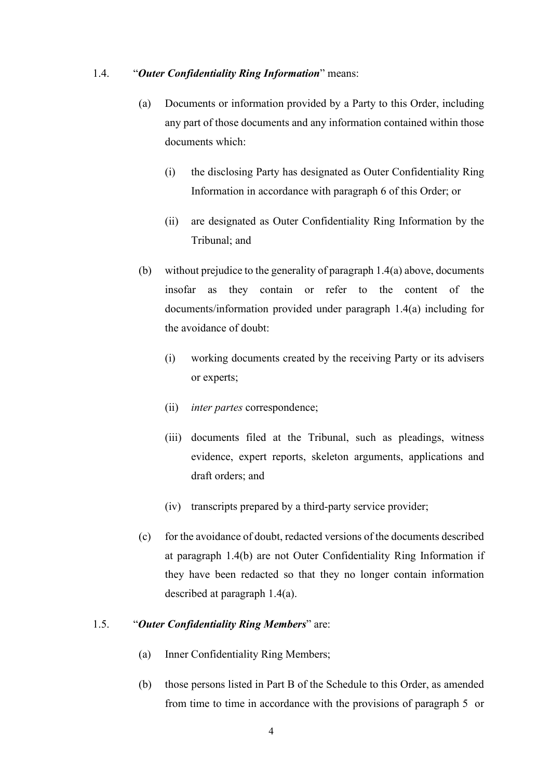#### 1.4. "*Outer Confidentiality Ring Information*" means:

- (a) Documents or information provided by a Party to this Order, including any part of those documents and any information contained within those documents which:
	- (i) the disclosing Party has designated as Outer Confidentiality Ring Information in accordance with paragraph 6 of this Order; or
	- (ii) are designated as Outer Confidentiality Ring Information by the Tribunal; and
- (b) without prejudice to the generality of paragraph 1.4(a) above, documents insofar as they contain or refer to the content of the documents/information provided under paragraph 1.4(a) including for the avoidance of doubt:
	- (i) working documents created by the receiving Party or its advisers or experts;
	- (ii) *inter partes* correspondence;
	- (iii) documents filed at the Tribunal, such as pleadings, witness evidence, expert reports, skeleton arguments, applications and draft orders; and
	- (iv) transcripts prepared by a third-party service provider;
- (c) for the avoidance of doubt, redacted versions of the documents described at paragraph 1.4(b) are not Outer Confidentiality Ring Information if they have been redacted so that they no longer contain information described at paragraph 1.4(a).

## 1.5. "*Outer Confidentiality Ring Members*" are:

- (a) Inner Confidentiality Ring Members;
- (b) those persons listed in Part B of the Schedule to this Order, as amended from time to time in accordance with the provisions of paragraph 5 or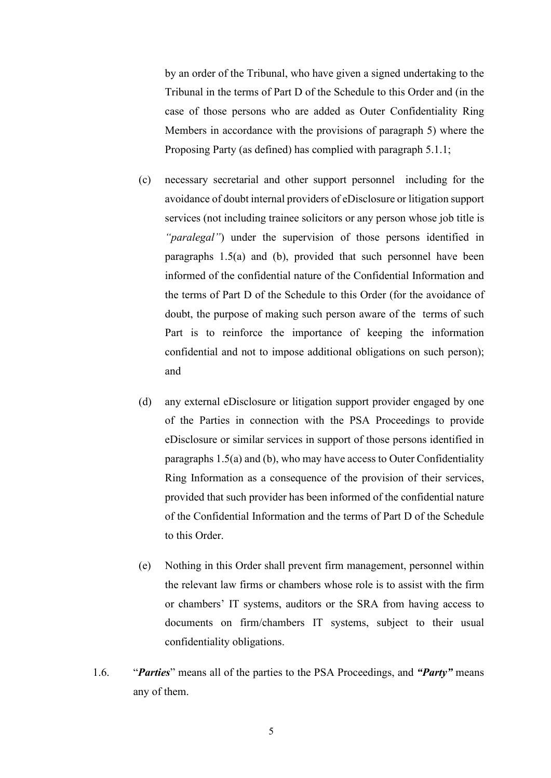by an order of the Tribunal, who have given a signed undertaking to the Tribunal in the terms of Part D of the Schedule to this Order and (in the case of those persons who are added as Outer Confidentiality Ring Members in accordance with the provisions of paragraph 5) where the Proposing Party (as defined) has complied with paragraph 5.1.1;

- (c) necessary secretarial and other support personnel including for the avoidance of doubt internal providers of eDisclosure or litigation support services (not including trainee solicitors or any person whose job title is *"paralegal"*) under the supervision of those persons identified in paragraphs 1.5(a) and (b), provided that such personnel have been informed of the confidential nature of the Confidential Information and the terms of Part D of the Schedule to this Order (for the avoidance of doubt, the purpose of making such person aware of the terms of such Part is to reinforce the importance of keeping the information confidential and not to impose additional obligations on such person); and
- (d) any external eDisclosure or litigation support provider engaged by one of the Parties in connection with the PSA Proceedings to provide eDisclosure or similar services in support of those persons identified in paragraphs 1.5(a) and (b), who may have access to Outer Confidentiality Ring Information as a consequence of the provision of their services, provided that such provider has been informed of the confidential nature of the Confidential Information and the terms of Part D of the Schedule to this Order.
- (e) Nothing in this Order shall prevent firm management, personnel within the relevant law firms or chambers whose role is to assist with the firm or chambers' IT systems, auditors or the SRA from having access to documents on firm/chambers IT systems, subject to their usual confidentiality obligations.
- 1.6. "*Parties*" means all of the parties to the PSA Proceedings, and *"Party"* means any of them.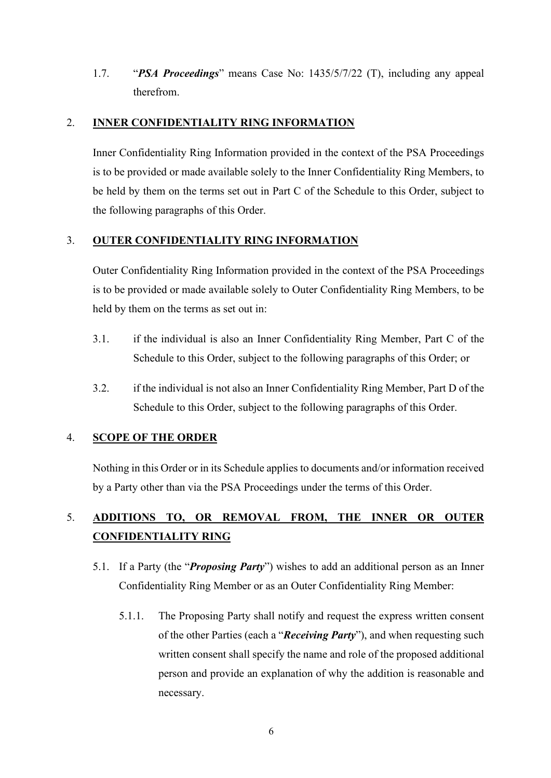1.7. "*PSA Proceedings*" means Case No: 1435/5/7/22 (T), including any appeal therefrom.

## 2. **INNER CONFIDENTIALITY RING INFORMATION**

Inner Confidentiality Ring Information provided in the context of the PSA Proceedings is to be provided or made available solely to the Inner Confidentiality Ring Members, to be held by them on the terms set out in Part C of the Schedule to this Order, subject to the following paragraphs of this Order.

## 3. **OUTER CONFIDENTIALITY RING INFORMATION**

Outer Confidentiality Ring Information provided in the context of the PSA Proceedings is to be provided or made available solely to Outer Confidentiality Ring Members, to be held by them on the terms as set out in:

- 3.1. if the individual is also an Inner Confidentiality Ring Member, Part C of the Schedule to this Order, subject to the following paragraphs of this Order; or
- 3.2. if the individual is not also an Inner Confidentiality Ring Member, Part D of the Schedule to this Order, subject to the following paragraphs of this Order.

# 4. **SCOPE OF THE ORDER**

Nothing in this Order or in its Schedule applies to documents and/or information received by a Party other than via the PSA Proceedings under the terms of this Order.

# 5. **ADDITIONS TO, OR REMOVAL FROM, THE INNER OR OUTER CONFIDENTIALITY RING**

- 5.1. If a Party (the "*Proposing Party*") wishes to add an additional person as an Inner Confidentiality Ring Member or as an Outer Confidentiality Ring Member:
	- 5.1.1. The Proposing Party shall notify and request the express written consent of the other Parties (each a "*Receiving Party*"), and when requesting such written consent shall specify the name and role of the proposed additional person and provide an explanation of why the addition is reasonable and necessary.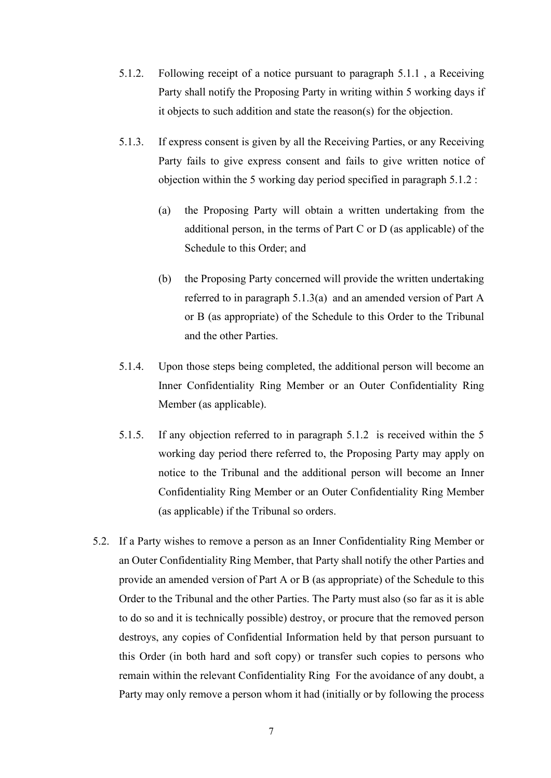- 5.1.2. Following receipt of a notice pursuant to paragraph 5.1.1 , a Receiving Party shall notify the Proposing Party in writing within 5 working days if it objects to such addition and state the reason(s) for the objection.
- 5.1.3. If express consent is given by all the Receiving Parties, or any Receiving Party fails to give express consent and fails to give written notice of objection within the 5 working day period specified in paragraph 5.1.2 :
	- (a) the Proposing Party will obtain a written undertaking from the additional person, in the terms of Part C or D (as applicable) of the Schedule to this Order; and
	- (b) the Proposing Party concerned will provide the written undertaking referred to in paragraph 5.1.3(a) and an amended version of Part A or B (as appropriate) of the Schedule to this Order to the Tribunal and the other Parties.
- 5.1.4. Upon those steps being completed, the additional person will become an Inner Confidentiality Ring Member or an Outer Confidentiality Ring Member (as applicable).
- 5.1.5. If any objection referred to in paragraph 5.1.2 is received within the 5 working day period there referred to, the Proposing Party may apply on notice to the Tribunal and the additional person will become an Inner Confidentiality Ring Member or an Outer Confidentiality Ring Member (as applicable) if the Tribunal so orders.
- 5.2. If a Party wishes to remove a person as an Inner Confidentiality Ring Member or an Outer Confidentiality Ring Member, that Party shall notify the other Parties and provide an amended version of Part A or B (as appropriate) of the Schedule to this Order to the Tribunal and the other Parties. The Party must also (so far as it is able to do so and it is technically possible) destroy, or procure that the removed person destroys, any copies of Confidential Information held by that person pursuant to this Order (in both hard and soft copy) or transfer such copies to persons who remain within the relevant Confidentiality Ring For the avoidance of any doubt, a Party may only remove a person whom it had (initially or by following the process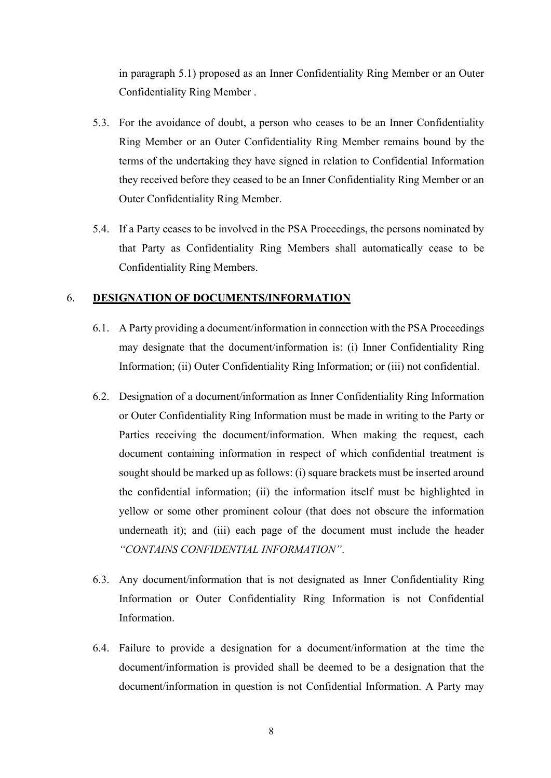in paragraph 5.1) proposed as an Inner Confidentiality Ring Member or an Outer Confidentiality Ring Member .

- 5.3. For the avoidance of doubt, a person who ceases to be an Inner Confidentiality Ring Member or an Outer Confidentiality Ring Member remains bound by the terms of the undertaking they have signed in relation to Confidential Information they received before they ceased to be an Inner Confidentiality Ring Member or an Outer Confidentiality Ring Member.
- 5.4. If a Party ceases to be involved in the PSA Proceedings, the persons nominated by that Party as Confidentiality Ring Members shall automatically cease to be Confidentiality Ring Members.

#### 6. **DESIGNATION OF DOCUMENTS/INFORMATION**

- 6.1. A Party providing a document/information in connection with the PSA Proceedings may designate that the document/information is: (i) Inner Confidentiality Ring Information; (ii) Outer Confidentiality Ring Information; or (iii) not confidential.
- 6.2. Designation of a document/information as Inner Confidentiality Ring Information or Outer Confidentiality Ring Information must be made in writing to the Party or Parties receiving the document/information. When making the request, each document containing information in respect of which confidential treatment is sought should be marked up as follows: (i) square brackets must be inserted around the confidential information; (ii) the information itself must be highlighted in yellow or some other prominent colour (that does not obscure the information underneath it); and (iii) each page of the document must include the header *"CONTAINS CONFIDENTIAL INFORMATION"*.
- 6.3. Any document/information that is not designated as Inner Confidentiality Ring Information or Outer Confidentiality Ring Information is not Confidential Information.
- 6.4. Failure to provide a designation for a document/information at the time the document/information is provided shall be deemed to be a designation that the document/information in question is not Confidential Information. A Party may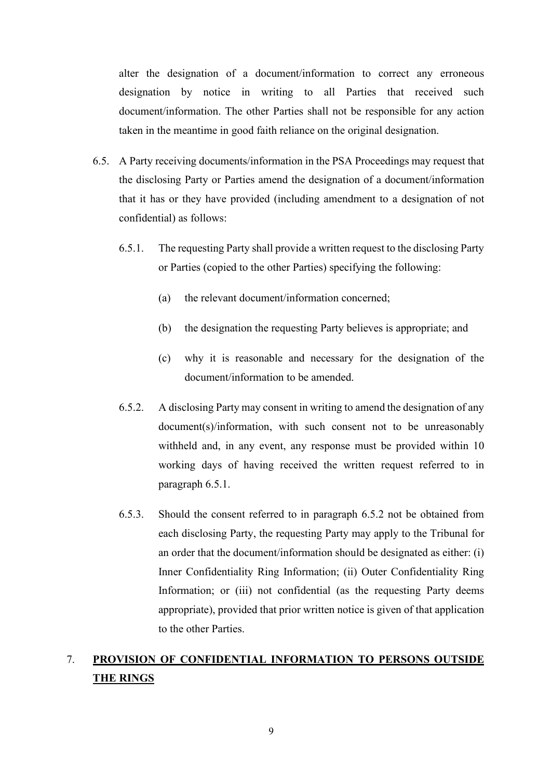alter the designation of a document/information to correct any erroneous designation by notice in writing to all Parties that received such document/information. The other Parties shall not be responsible for any action taken in the meantime in good faith reliance on the original designation.

- 6.5. A Party receiving documents/information in the PSA Proceedings may request that the disclosing Party or Parties amend the designation of a document/information that it has or they have provided (including amendment to a designation of not confidential) as follows:
	- 6.5.1. The requesting Party shall provide a written request to the disclosing Party or Parties (copied to the other Parties) specifying the following:
		- (a) the relevant document/information concerned;
		- (b) the designation the requesting Party believes is appropriate; and
		- (c) why it is reasonable and necessary for the designation of the document/information to be amended.
	- 6.5.2. A disclosing Party may consent in writing to amend the designation of any document(s)/information, with such consent not to be unreasonably withheld and, in any event, any response must be provided within 10 working days of having received the written request referred to in paragraph 6.5.1.
	- 6.5.3. Should the consent referred to in paragraph 6.5.2 not be obtained from each disclosing Party, the requesting Party may apply to the Tribunal for an order that the document/information should be designated as either: (i) Inner Confidentiality Ring Information; (ii) Outer Confidentiality Ring Information; or (iii) not confidential (as the requesting Party deems appropriate), provided that prior written notice is given of that application to the other Parties.

# 7. **PROVISION OF CONFIDENTIAL INFORMATION TO PERSONS OUTSIDE THE RINGS**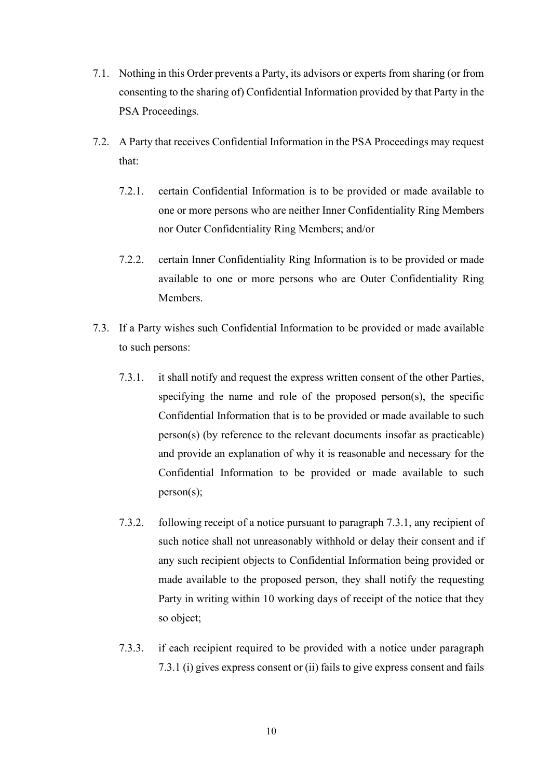- 7.1. Nothing in this Order prevents a Party, its advisors or experts from sharing (or from consenting to the sharing of) Confidential Information provided by that Party in the PSA Proceedings.
- 7.2. A Party that receives Confidential Information in the PSA Proceedings may request that:
	- 7.2.1. certain Confidential Information is to be provided or made available to one or more persons who are neither Inner Confidentiality Ring Members nor Outer Confidentiality Ring Members; and/or
	- 7.2.2. certain Inner Confidentiality Ring Information is to be provided or made available to one or more persons who are Outer Confidentiality Ring Members.
- 7.3. If a Party wishes such Confidential Information to be provided or made available to such persons:
	- 7.3.1. it shall notify and request the express written consent of the other Parties, specifying the name and role of the proposed person(s), the specific Confidential Information that is to be provided or made available to such person(s) (by reference to the relevant documents insofar as practicable) and provide an explanation of why it is reasonable and necessary for the Confidential Information to be provided or made available to such person(s);
	- 7.3.2. following receipt of a notice pursuant to paragraph 7.3.1, any recipient of such notice shall not unreasonably withhold or delay their consent and if any such recipient objects to Confidential Information being provided or made available to the proposed person, they shall notify the requesting Party in writing within 10 working days of receipt of the notice that they so object;
	- 7.3.3. if each recipient required to be provided with a notice under paragraph 7.3.1 (i) gives express consent or (ii) fails to give express consent and fails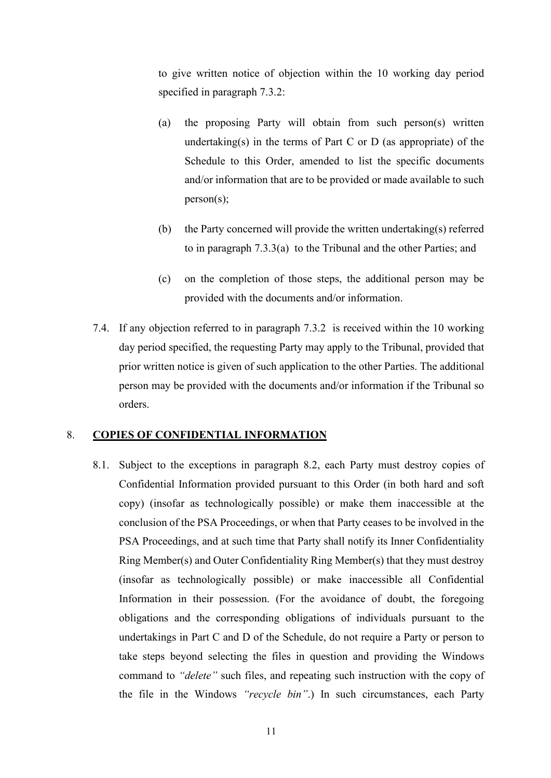to give written notice of objection within the 10 working day period specified in paragraph 7.3.2:

- (a) the proposing Party will obtain from such person(s) written undertaking(s) in the terms of Part C or D (as appropriate) of the Schedule to this Order, amended to list the specific documents and/or information that are to be provided or made available to such person(s);
- (b) the Party concerned will provide the written undertaking(s) referred to in paragraph 7.3.3(a) to the Tribunal and the other Parties; and
- (c) on the completion of those steps, the additional person may be provided with the documents and/or information.
- 7.4. If any objection referred to in paragraph 7.3.2 is received within the 10 working day period specified, the requesting Party may apply to the Tribunal, provided that prior written notice is given of such application to the other Parties. The additional person may be provided with the documents and/or information if the Tribunal so orders.

### 8. **COPIES OF CONFIDENTIAL INFORMATION**

8.1. Subject to the exceptions in paragraph 8.2, each Party must destroy copies of Confidential Information provided pursuant to this Order (in both hard and soft copy) (insofar as technologically possible) or make them inaccessible at the conclusion of the PSA Proceedings, or when that Party ceases to be involved in the PSA Proceedings, and at such time that Party shall notify its Inner Confidentiality Ring Member(s) and Outer Confidentiality Ring Member(s) that they must destroy (insofar as technologically possible) or make inaccessible all Confidential Information in their possession. (For the avoidance of doubt, the foregoing obligations and the corresponding obligations of individuals pursuant to the undertakings in Part C and D of the Schedule, do not require a Party or person to take steps beyond selecting the files in question and providing the Windows command to *"delete"* such files, and repeating such instruction with the copy of the file in the Windows *"recycle bin"*.) In such circumstances, each Party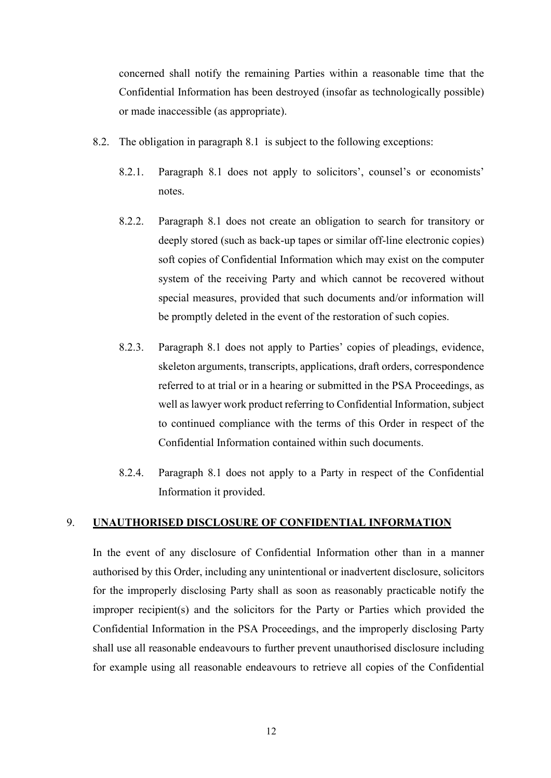concerned shall notify the remaining Parties within a reasonable time that the Confidential Information has been destroyed (insofar as technologically possible) or made inaccessible (as appropriate).

- 8.2. The obligation in paragraph 8.1 is subject to the following exceptions:
	- 8.2.1. Paragraph 8.1 does not apply to solicitors', counsel's or economists' notes.
	- 8.2.2. Paragraph 8.1 does not create an obligation to search for transitory or deeply stored (such as back-up tapes or similar off-line electronic copies) soft copies of Confidential Information which may exist on the computer system of the receiving Party and which cannot be recovered without special measures, provided that such documents and/or information will be promptly deleted in the event of the restoration of such copies.
	- 8.2.3. Paragraph 8.1 does not apply to Parties' copies of pleadings, evidence, skeleton arguments, transcripts, applications, draft orders, correspondence referred to at trial or in a hearing or submitted in the PSA Proceedings, as well as lawyer work product referring to Confidential Information, subject to continued compliance with the terms of this Order in respect of the Confidential Information contained within such documents.
	- 8.2.4. Paragraph 8.1 does not apply to a Party in respect of the Confidential Information it provided.

## 9. **UNAUTHORISED DISCLOSURE OF CONFIDENTIAL INFORMATION**

In the event of any disclosure of Confidential Information other than in a manner authorised by this Order, including any unintentional or inadvertent disclosure, solicitors for the improperly disclosing Party shall as soon as reasonably practicable notify the improper recipient(s) and the solicitors for the Party or Parties which provided the Confidential Information in the PSA Proceedings, and the improperly disclosing Party shall use all reasonable endeavours to further prevent unauthorised disclosure including for example using all reasonable endeavours to retrieve all copies of the Confidential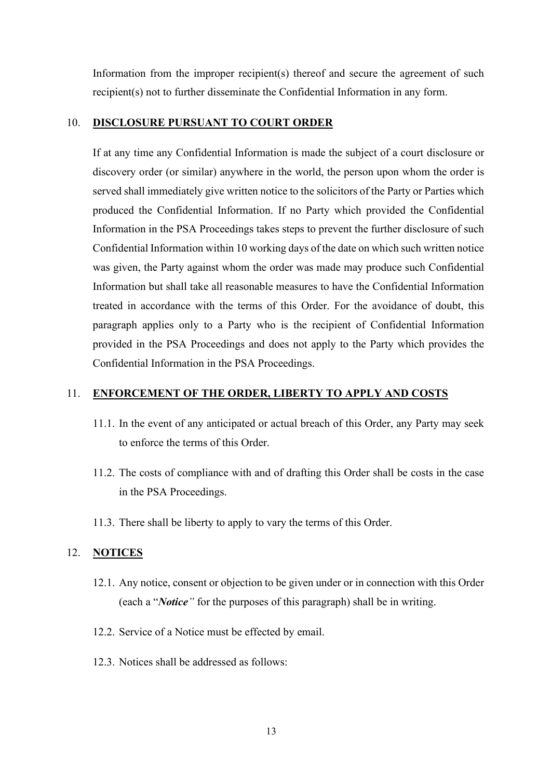Information from the improper recipient(s) thereof and secure the agreement of such recipient(s) not to further disseminate the Confidential Information in any form.

#### 10. **DISCLOSURE PURSUANT TO COURT ORDER**

If at any time any Confidential Information is made the subject of a court disclosure or discovery order (or similar) anywhere in the world, the person upon whom the order is served shall immediately give written notice to the solicitors of the Party or Parties which produced the Confidential Information. If no Party which provided the Confidential Information in the PSA Proceedings takes steps to prevent the further disclosure of such Confidential Information within 10 working days of the date on which such written notice was given, the Party against whom the order was made may produce such Confidential Information but shall take all reasonable measures to have the Confidential Information treated in accordance with the terms of this Order. For the avoidance of doubt, this paragraph applies only to a Party who is the recipient of Confidential Information provided in the PSA Proceedings and does not apply to the Party which provides the Confidential Information in the PSA Proceedings.

## 11. **ENFORCEMENT OF THE ORDER, LIBERTY TO APPLY AND COSTS**

- 11.1. In the event of any anticipated or actual breach of this Order, any Party may seek to enforce the terms of this Order.
- 11.2. The costs of compliance with and of drafting this Order shall be costs in the case in the PSA Proceedings.
- 11.3. There shall be liberty to apply to vary the terms of this Order.

#### 12. **NOTICES**

- 12.1. Any notice, consent or objection to be given under or in connection with this Order (each a "*Notice"* for the purposes of this paragraph) shall be in writing.
- 12.2. Service of a Notice must be effected by email.
- 12.3. Notices shall be addressed as follows: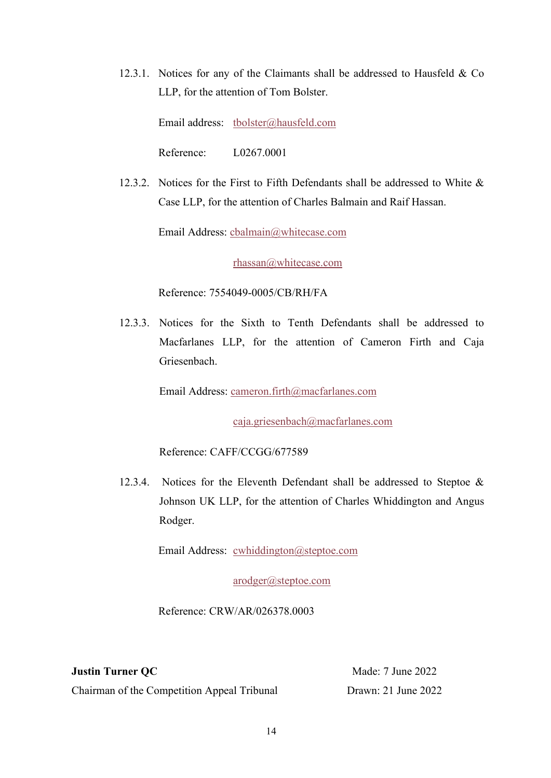12.3.1. Notices for any of the Claimants shall be addressed to Hausfeld & Co LLP, for the attention of Tom Bolster.

Email address: tbolster@hausfeld.com

Reference: L0267.0001

12.3.2. Notices for the First to Fifth Defendants shall be addressed to White & Case LLP, for the attention of Charles Balmain and Raif Hassan.

Email Address: cbalmain@whitecase.com

rhassan@whitecase.com

Reference: 7554049-0005/CB/RH/FA

12.3.3. Notices for the Sixth to Tenth Defendants shall be addressed to Macfarlanes LLP, for the attention of Cameron Firth and Caja Griesenbach.

Email Address: cameron.firth@macfarlanes.com

caja.griesenbach@macfarlanes.com

Reference: CAFF/CCGG/677589

12.3.4. Notices for the Eleventh Defendant shall be addressed to Steptoe & Johnson UK LLP, for the attention of Charles Whiddington and Angus Rodger.

Email Address: cwhiddington@steptoe.com

arodger@steptoe.com

Reference: CRW/AR/026378.0003

**Justin Turner QC**

Chairman of the Competition Appeal Tribunal

Made: 7 June 2022 Drawn: 21 June 2022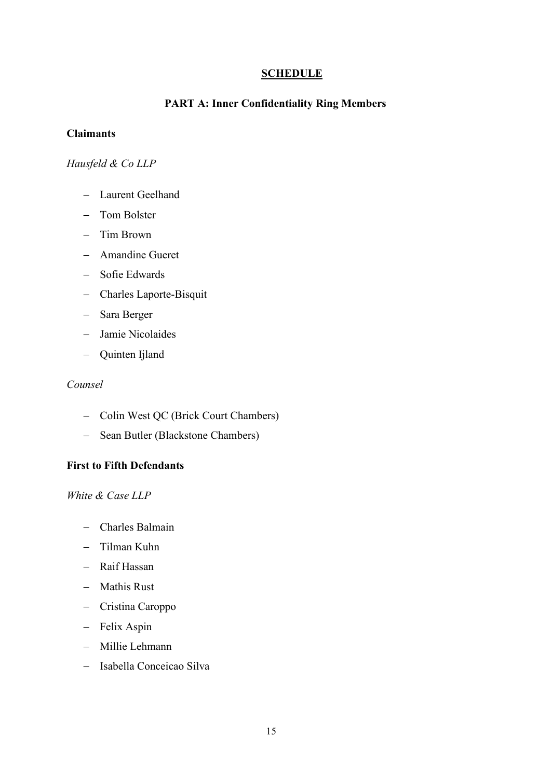## **SCHEDULE**

#### **PART A: Inner Confidentiality Ring Members**

#### **Claimants**

### *Hausfeld & Co LLP*

- − Laurent Geelhand
- − Tom Bolster
- − Tim Brown
- − Amandine Gueret
- − Sofie Edwards
- − Charles Laporte-Bisquit
- − Sara Berger
- − Jamie Nicolaides
- − Quinten Ijland

## *Counsel*

- − Colin West QC (Brick Court Chambers)
- − Sean Butler (Blackstone Chambers)

## **First to Fifth Defendants**

*White & Case LLP*

- − Charles Balmain
- − Tilman Kuhn
- − Raif Hassan
- − Mathis Rust
- − Cristina Caroppo
- − Felix Aspin
- − Millie Lehmann
- − Isabella Conceicao Silva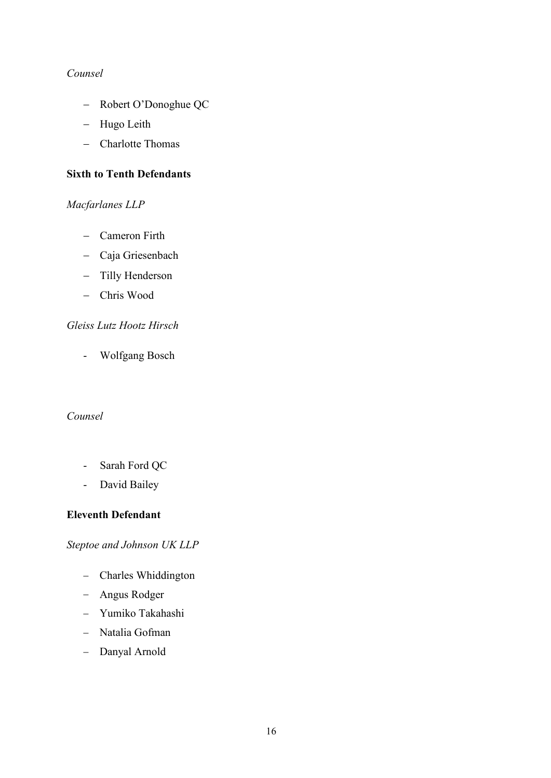## *Counsel*

- − Robert O'Donoghue QC
- − Hugo Leith
- − Charlotte Thomas

### **Sixth to Tenth Defendants**

## *Macfarlanes LLP*

- − Cameron Firth
- − Caja Griesenbach
- − Tilly Henderson
- − Chris Wood

## *Gleiss Lutz Hootz Hirsch*

- Wolfgang Bosch

### *Counsel*

- Sarah Ford QC
- David Bailey

## **Eleventh Defendant**

## *Steptoe and Johnson UK LLP*

- − Charles Whiddington
- − Angus Rodger
- − Yumiko Takahashi
- − Natalia Gofman
- − Danyal Arnold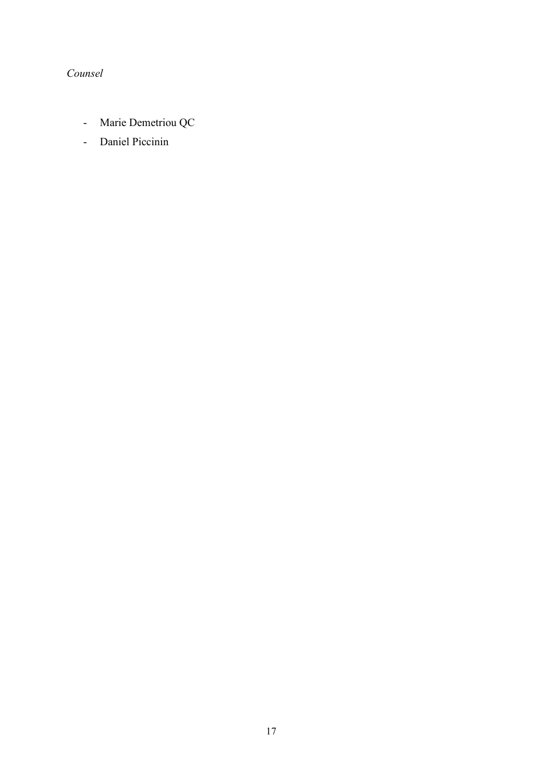# *Counsel*

- Marie Demetriou QC
- Daniel Piccinin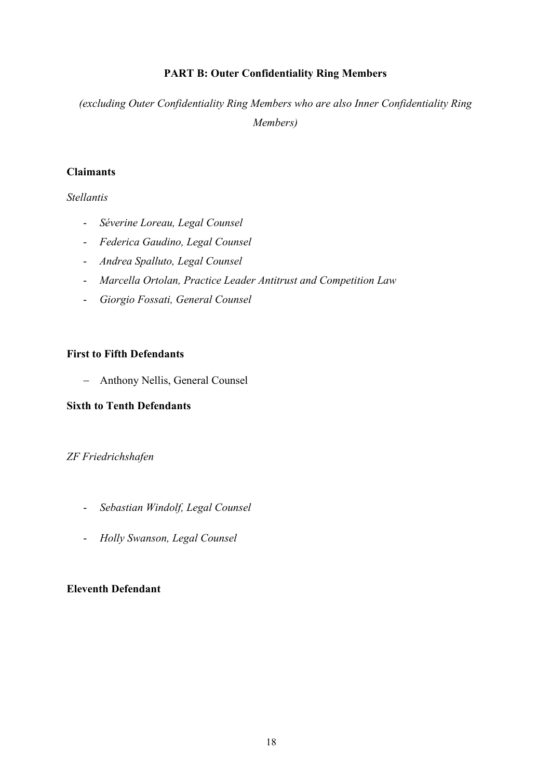## **PART B: Outer Confidentiality Ring Members**

*(excluding Outer Confidentiality Ring Members who are also Inner Confidentiality Ring Members)*

## **Claimants**

*Stellantis*

- *Séverine Loreau, Legal Counsel*
- *Federica Gaudino, Legal Counsel*
- *Andrea Spalluto, Legal Counsel*
- *Marcella Ortolan, Practice Leader Antitrust and Competition Law*
- *Giorgio Fossati, General Counsel*

## **First to Fifth Defendants**

− Anthony Nellis, General Counsel

## **Sixth to Tenth Defendants**

## *ZF Friedrichshafen*

- *Sebastian Windolf, Legal Counsel*
- *Holly Swanson, Legal Counsel*

## **Eleventh Defendant**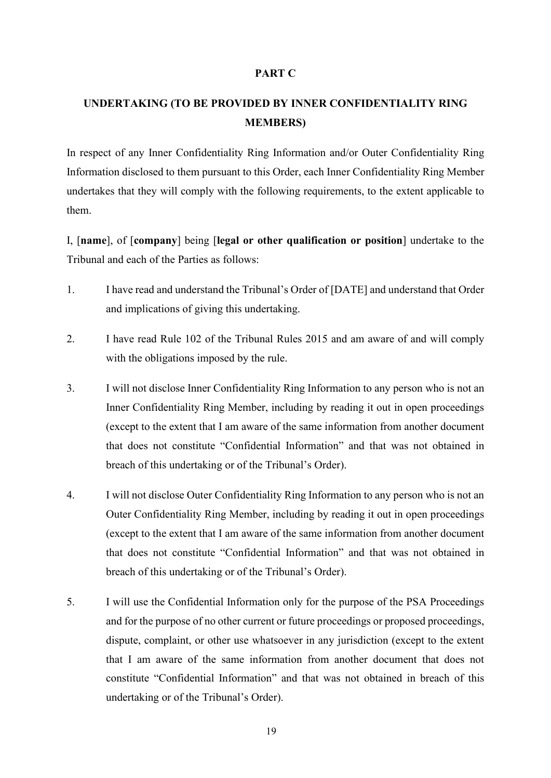#### **PART C**

# **UNDERTAKING (TO BE PROVIDED BY INNER CONFIDENTIALITY RING MEMBERS)**

In respect of any Inner Confidentiality Ring Information and/or Outer Confidentiality Ring Information disclosed to them pursuant to this Order, each Inner Confidentiality Ring Member undertakes that they will comply with the following requirements, to the extent applicable to them.

I, [**name**], of [**company**] being [**legal or other qualification or position**] undertake to the Tribunal and each of the Parties as follows:

- 1. I have read and understand the Tribunal's Order of [DATE] and understand that Order and implications of giving this undertaking.
- 2. I have read Rule 102 of the Tribunal Rules 2015 and am aware of and will comply with the obligations imposed by the rule.
- 3. I will not disclose Inner Confidentiality Ring Information to any person who is not an Inner Confidentiality Ring Member, including by reading it out in open proceedings (except to the extent that I am aware of the same information from another document that does not constitute "Confidential Information" and that was not obtained in breach of this undertaking or of the Tribunal's Order).
- 4. I will not disclose Outer Confidentiality Ring Information to any person who is not an Outer Confidentiality Ring Member, including by reading it out in open proceedings (except to the extent that I am aware of the same information from another document that does not constitute "Confidential Information" and that was not obtained in breach of this undertaking or of the Tribunal's Order).
- 5. I will use the Confidential Information only for the purpose of the PSA Proceedings and for the purpose of no other current or future proceedings or proposed proceedings, dispute, complaint, or other use whatsoever in any jurisdiction (except to the extent that I am aware of the same information from another document that does not constitute "Confidential Information" and that was not obtained in breach of this undertaking or of the Tribunal's Order).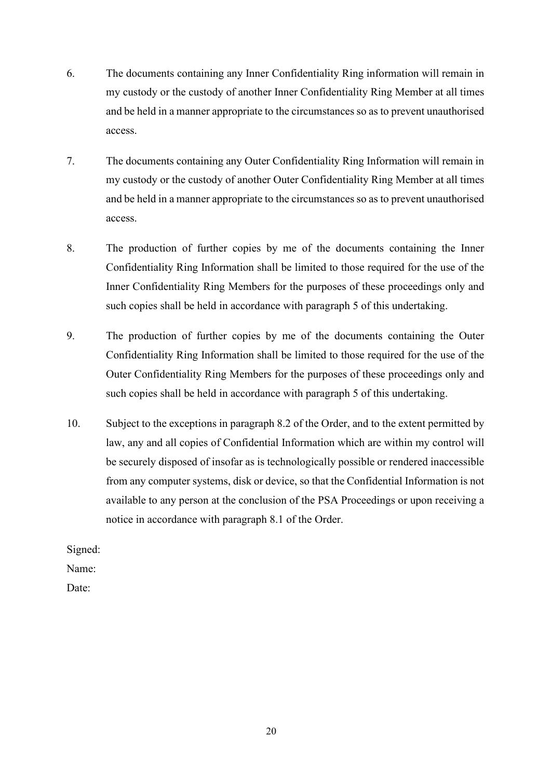- 6. The documents containing any Inner Confidentiality Ring information will remain in my custody or the custody of another Inner Confidentiality Ring Member at all times and be held in a manner appropriate to the circumstances so as to prevent unauthorised access.
- 7. The documents containing any Outer Confidentiality Ring Information will remain in my custody or the custody of another Outer Confidentiality Ring Member at all times and be held in a manner appropriate to the circumstances so as to prevent unauthorised access.
- 8. The production of further copies by me of the documents containing the Inner Confidentiality Ring Information shall be limited to those required for the use of the Inner Confidentiality Ring Members for the purposes of these proceedings only and such copies shall be held in accordance with paragraph 5 of this undertaking.
- 9. The production of further copies by me of the documents containing the Outer Confidentiality Ring Information shall be limited to those required for the use of the Outer Confidentiality Ring Members for the purposes of these proceedings only and such copies shall be held in accordance with paragraph 5 of this undertaking.
- 10. Subject to the exceptions in paragraph 8.2 of the Order, and to the extent permitted by law, any and all copies of Confidential Information which are within my control will be securely disposed of insofar as is technologically possible or rendered inaccessible from any computer systems, disk or device, so that the Confidential Information is not available to any person at the conclusion of the PSA Proceedings or upon receiving a notice in accordance with paragraph 8.1 of the Order.

Signed:

Name:

Date:

20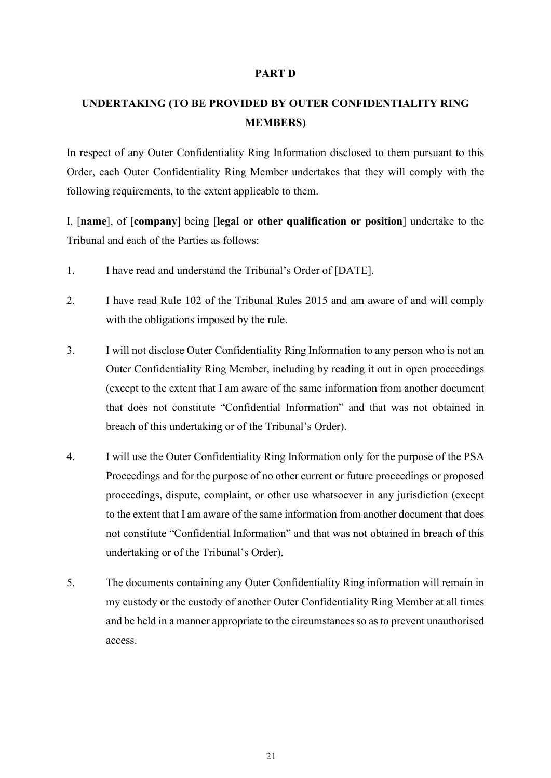#### **PART D**

# **UNDERTAKING (TO BE PROVIDED BY OUTER CONFIDENTIALITY RING MEMBERS)**

In respect of any Outer Confidentiality Ring Information disclosed to them pursuant to this Order, each Outer Confidentiality Ring Member undertakes that they will comply with the following requirements, to the extent applicable to them.

I, [**name**], of [**company**] being [**legal or other qualification or position**] undertake to the Tribunal and each of the Parties as follows:

- 1. I have read and understand the Tribunal's Order of [DATE].
- 2. I have read Rule 102 of the Tribunal Rules 2015 and am aware of and will comply with the obligations imposed by the rule.
- 3. I will not disclose Outer Confidentiality Ring Information to any person who is not an Outer Confidentiality Ring Member, including by reading it out in open proceedings (except to the extent that I am aware of the same information from another document that does not constitute "Confidential Information" and that was not obtained in breach of this undertaking or of the Tribunal's Order).
- 4. I will use the Outer Confidentiality Ring Information only for the purpose of the PSA Proceedings and for the purpose of no other current or future proceedings or proposed proceedings, dispute, complaint, or other use whatsoever in any jurisdiction (except to the extent that I am aware of the same information from another document that does not constitute "Confidential Information" and that was not obtained in breach of this undertaking or of the Tribunal's Order).
- 5. The documents containing any Outer Confidentiality Ring information will remain in my custody or the custody of another Outer Confidentiality Ring Member at all times and be held in a manner appropriate to the circumstances so as to prevent unauthorised access.